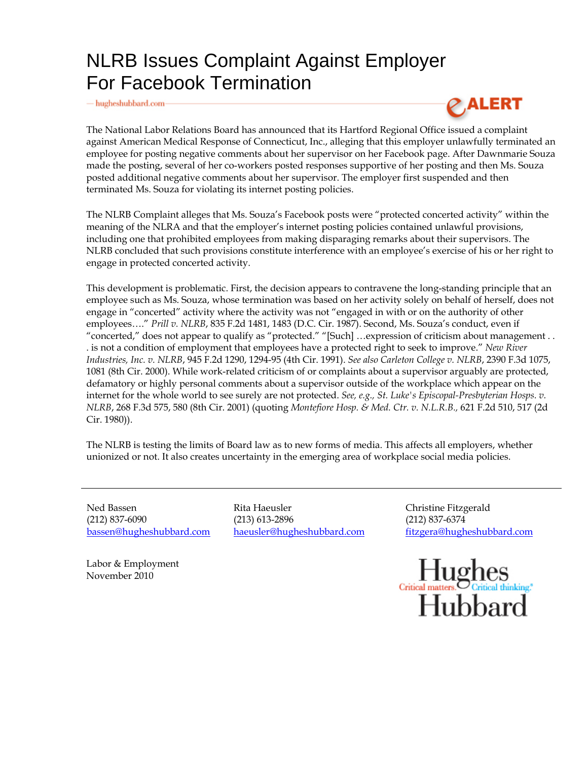## NLRB Issues Complaint Against Employer For Facebook Termination

 $-\hbox{hugheshubbard.com}$ 



The National Labor Relations Board has announced that its Hartford Regional Office issued a complaint against American Medical Response of Connecticut, Inc., alleging that this employer unlawfully terminated an employee for posting negative comments about her supervisor on her Facebook page. After Dawnmarie Souza made the posting, several of her co-workers posted responses supportive of her posting and then Ms. Souza posted additional negative comments about her supervisor. The employer first suspended and then terminated Ms. Souza for violating its internet posting policies.

The NLRB Complaint alleges that Ms. Souza's Facebook posts were "protected concerted activity" within the meaning of the NLRA and that the employer's internet posting policies contained unlawful provisions, including one that prohibited employees from making disparaging remarks about their supervisors. The NLRB concluded that such provisions constitute interference with an employee's exercise of his or her right to engage in protected concerted activity.

This development is problematic. First, the decision appears to contravene the long-standing principle that an employee such as Ms. Souza, whose termination was based on her activity solely on behalf of herself, does not engage in "concerted" activity where the activity was not "engaged in with or on the authority of other employees…." *Prill v. NLRB*, 835 F.2d 1481, 1483 (D.C. Cir. 1987). Second, Ms. Souza's conduct, even if "concerted," does not appear to qualify as "protected." "[Such] …expression of criticism about management . . . is not a condition of employment that employees have a protected right to seek to improve." *New River Industries, Inc. v. NLRB*, 945 F.2d 1290, 1294-95 (4th Cir. 1991). *See also Carleton College v. NLRB*, 2390 F.3d 1075, 1081 (8th Cir. 2000). While work-related criticism of or complaints about a supervisor arguably are protected, defamatory or highly personal comments about a supervisor outside of the workplace which appear on the internet for the whole world to see surely are not protected. *See, e.g., St. Luke's Episcopal-Presbyterian Hosps. v. NLRB*, 268 F.3d 575, 580 (8th Cir. 2001) (quoting *Montefiore Hosp. & Med. Ctr. v. N.L.R.B.,* 621 F.2d 510, 517 (2d Cir. 1980)).

The NLRB is testing the limits of Board law as to new forms of media. This affects all employers, whether unionized or not. It also creates uncertainty in the emerging area of workplace social media policies.

Ned Bassen (212) 837-6090 bassen@hugheshubbard.com Rita Haeusler (213) 613-2896 haeusler@hugheshubbard.com Christine Fitzgerald (212) 837-6374 fitzgera@hugheshubbard.com



Labor & Employment November 2010